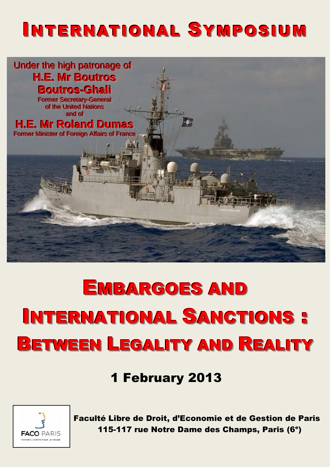## **INTERNATIONAL SYMPOSIUM**



# **EMBARGOES AND INTERNATIONAL SANCTIONS: BETWEEN LEGALITY AND REALITY**

**1 February 2013** 



Faculté Libre de Droit, d'Economie et de Gestion de Paris 115-117 rue Notre Dame des Champs. Paris (6<sup>e</sup>)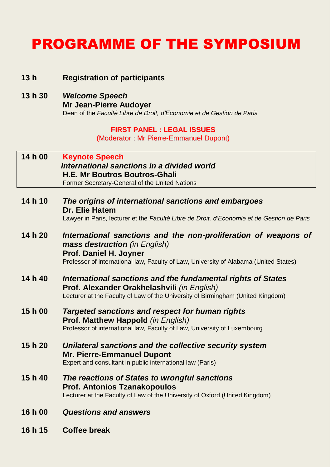### PROGRAMME OF THE SYMPOSIUM

#### **13 h Registration of participants**

**13 h 30** *Welcome Speech*  **Mr Jean-Pierre Audoyer** Dean of the *Faculté Libre de Droit, d'Economie et de Gestion de Paris*

#### **FIRST PANEL : LEGAL ISSUES**

(Moderator : Mr Pierre-Emmanuel Dupont)

#### **14 h 00 Keynote Speech**  *International sanctions in a divided world* **H.E. Mr Boutros Boutros-Ghali** Former Secretary-General of the United Nations

**14 h 10** *The origins of international sanctions and embargoes*  **Dr. Elie Hatem**  Lawyer in Paris, lecturer et the *Faculté Libre de Droit, d'Economie et de Gestion de Paris*

#### **14 h 20** *International sanctions and the non-proliferation of weapons of mass destruction (in English)* **Prof. Daniel H. Joyner** Professor of international law, Faculty of Law, University of Alabama (United States)

- **14 h 40** *International sanctions and the fundamental rights of States* **Prof. Alexander Orakhelashvili** *(in English)* Lecturer at the Faculty of Law of the University of Birmingham (United Kingdom)
- **15 h 00** *Targeted sanctions and respect for human rights*  **Prof. Matthew Happold** *(in English)* Professor of international law, Faculty of Law, University of Luxembourg
- **15 h 20** *Unilateral sanctions and the collective security system* **Mr. Pierre-Emmanuel Dupont** Expert and consultant in public international law (Paris)
- **15 h 40** *The reactions of States to wrongful sanctions* **Prof. Antonios Tzanakopoulos** Lecturer at the Faculty of Law of the University of Oxford (United Kingdom)
- **16 h 00** *Questions and answers*
- **16 h 15 Coffee break**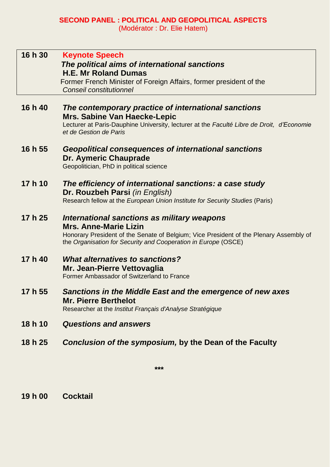#### **SECOND PANEL : POLITICAL AND GEOPOLITICAL ASPECTS** (Modérator : Dr. Elie Hatem)

| 16 h 30 | <b>Keynote Speech</b><br>The political aims of international sanctions<br><b>H.E. Mr Roland Dumas</b><br>Former French Minister of Foreign Affairs, former president of the<br>Conseil constitutionnel                                  |
|---------|-----------------------------------------------------------------------------------------------------------------------------------------------------------------------------------------------------------------------------------------|
| 16 h 40 | The contemporary practice of international sanctions<br><b>Mrs. Sabine Van Haecke-Lepic</b><br>Lecturer at Paris-Dauphine University, lecturer at the Faculté Libre de Droit, d'Economie<br>et de Gestion de Paris                      |
| 16 h 55 | Geopolitical consequences of international sanctions<br>Dr. Aymeric Chauprade<br>Geopolitician, PhD in political science                                                                                                                |
| 17 h 10 | The efficiency of international sanctions: a case study<br>Dr. Rouzbeh Parsi (in English)<br>Research fellow at the European Union Institute for Security Studies (Paris)                                                               |
| 17 h 25 | International sanctions as military weapons<br><b>Mrs. Anne-Marie Lizin</b><br>Honorary President of the Senate of Belgium; Vice President of the Plenary Assembly of<br>the Organisation for Security and Cooperation in Europe (OSCE) |
| 17 h 40 | <b>What alternatives to sanctions?</b><br>Mr. Jean-Pierre Vettovaglia<br>Former Ambassador of Switzerland to France                                                                                                                     |
| 17 h 55 | Sanctions in the Middle East and the emergence of new axes<br><b>Mr. Pierre Berthelot</b><br>Researcher at the Institut Français d'Analyse Stratégique                                                                                  |
|         |                                                                                                                                                                                                                                         |

**18 h 10** *Questions and answers*

#### **18 h 25** *Conclusion of the symposium,* **by the Dean of the Faculty**

**\*\*\***

#### **19 h 00 Cocktail**